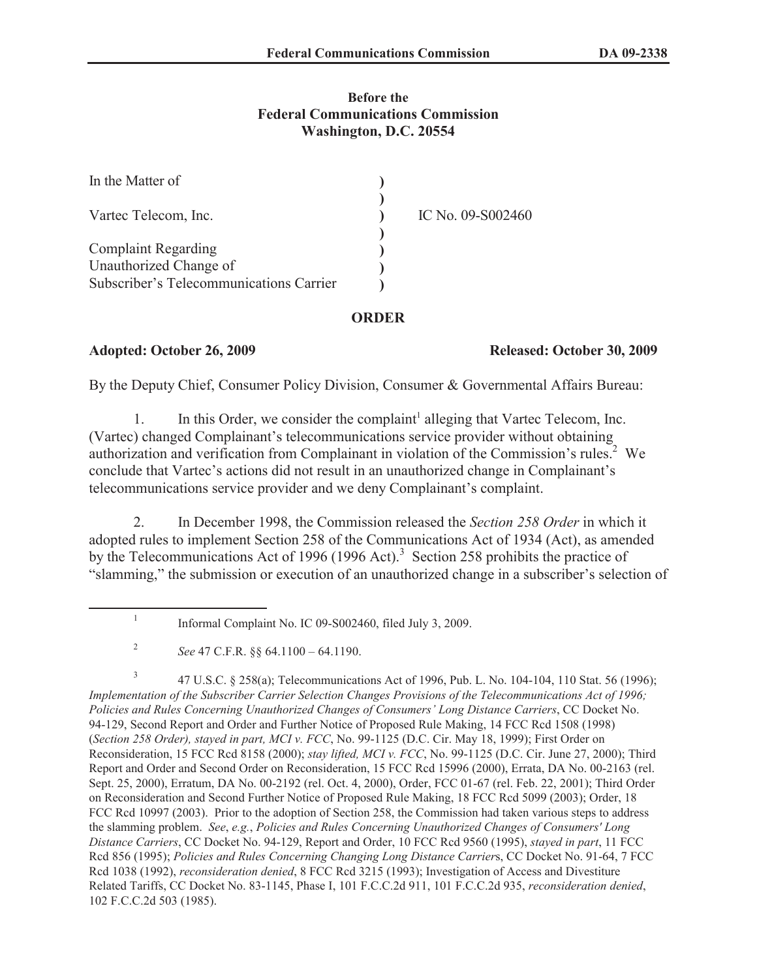## **Before the Federal Communications Commission Washington, D.C. 20554**

| In the Matter of                        |                   |
|-----------------------------------------|-------------------|
| Vartec Telecom, Inc.                    | IC No. 09-S002460 |
| <b>Complaint Regarding</b>              |                   |
| Unauthorized Change of                  |                   |
| Subscriber's Telecommunications Carrier |                   |

### **ORDER**

## **Adopted: October 26, 2009 Released: October 30, 2009**

By the Deputy Chief, Consumer Policy Division, Consumer & Governmental Affairs Bureau:

1. In this Order, we consider the complaint<sup>1</sup> alleging that Vartec Telecom, Inc. (Vartec) changed Complainant's telecommunications service provider without obtaining authorization and verification from Complainant in violation of the Commission's rules.<sup>2</sup> We conclude that Vartec's actions did not result in an unauthorized change in Complainant's telecommunications service provider and we deny Complainant's complaint.

2. In December 1998, the Commission released the *Section 258 Order* in which it adopted rules to implement Section 258 of the Communications Act of 1934 (Act), as amended by the Telecommunications Act of 1996 (1996 Act).<sup>3</sup> Section 258 prohibits the practice of "slamming," the submission or execution of an unauthorized change in a subscriber's selection of

3 47 U.S.C. § 258(a); Telecommunications Act of 1996, Pub. L. No. 104-104, 110 Stat. 56 (1996); *Implementation of the Subscriber Carrier Selection Changes Provisions of the Telecommunications Act of 1996; Policies and Rules Concerning Unauthorized Changes of Consumers' Long Distance Carriers*, CC Docket No. 94-129, Second Report and Order and Further Notice of Proposed Rule Making, 14 FCC Rcd 1508 (1998) (*Section 258 Order), stayed in part, MCI v. FCC*, No. 99-1125 (D.C. Cir. May 18, 1999); First Order on Reconsideration, 15 FCC Rcd 8158 (2000); *stay lifted, MCI v. FCC*, No. 99-1125 (D.C. Cir. June 27, 2000); Third Report and Order and Second Order on Reconsideration, 15 FCC Rcd 15996 (2000), Errata, DA No. 00-2163 (rel. Sept. 25, 2000), Erratum, DA No. 00-2192 (rel. Oct. 4, 2000), Order, FCC 01-67 (rel. Feb. 22, 2001); Third Order on Reconsideration and Second Further Notice of Proposed Rule Making, 18 FCC Rcd 5099 (2003); Order, 18 FCC Rcd 10997 (2003). Prior to the adoption of Section 258, the Commission had taken various steps to address the slamming problem. *See*, *e.g.*, *Policies and Rules Concerning Unauthorized Changes of Consumers' Long Distance Carriers*, CC Docket No. 94-129, Report and Order, 10 FCC Rcd 9560 (1995), *stayed in part*, 11 FCC Rcd 856 (1995); *Policies and Rules Concerning Changing Long Distance Carrier*s, CC Docket No. 91-64, 7 FCC Rcd 1038 (1992), *reconsideration denied*, 8 FCC Rcd 3215 (1993); Investigation of Access and Divestiture Related Tariffs, CC Docket No. 83-1145, Phase I, 101 F.C.C.2d 911, 101 F.C.C.2d 935, *reconsideration denied*, 102 F.C.C.2d 503 (1985).

<sup>1</sup> Informal Complaint No. IC 09-S002460, filed July 3, 2009.

<sup>2</sup> *See* 47 C.F.R. §§ 64.1100 – 64.1190.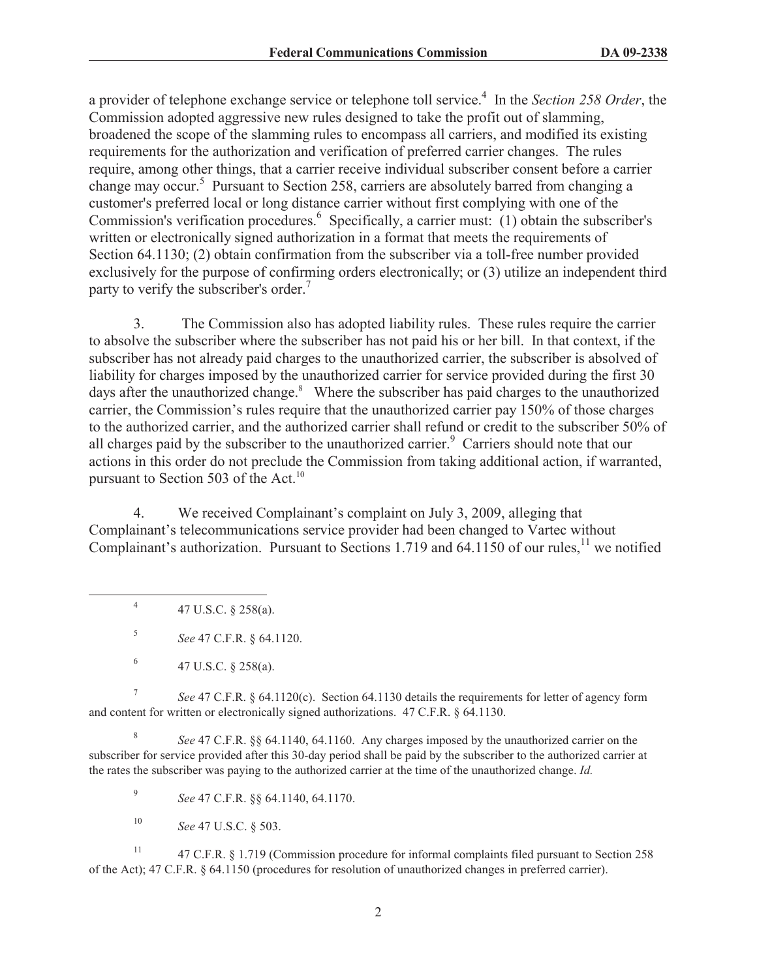a provider of telephone exchange service or telephone toll service.<sup>4</sup> In the *Section 258 Order*, the Commission adopted aggressive new rules designed to take the profit out of slamming, broadened the scope of the slamming rules to encompass all carriers, and modified its existing requirements for the authorization and verification of preferred carrier changes. The rules require, among other things, that a carrier receive individual subscriber consent before a carrier change may occur.<sup>5</sup> Pursuant to Section 258, carriers are absolutely barred from changing a customer's preferred local or long distance carrier without first complying with one of the Commission's verification procedures.<sup>6</sup> Specifically, a carrier must: (1) obtain the subscriber's written or electronically signed authorization in a format that meets the requirements of Section 64.1130; (2) obtain confirmation from the subscriber via a toll-free number provided exclusively for the purpose of confirming orders electronically; or (3) utilize an independent third party to verify the subscriber's order.<sup>7</sup>

3. The Commission also has adopted liability rules. These rules require the carrier to absolve the subscriber where the subscriber has not paid his or her bill. In that context, if the subscriber has not already paid charges to the unauthorized carrier, the subscriber is absolved of liability for charges imposed by the unauthorized carrier for service provided during the first 30 days after the unauthorized change.<sup>8</sup> Where the subscriber has paid charges to the unauthorized carrier, the Commission's rules require that the unauthorized carrier pay 150% of those charges to the authorized carrier, and the authorized carrier shall refund or credit to the subscriber 50% of all charges paid by the subscriber to the unauthorized carrier.<sup>9</sup> Carriers should note that our actions in this order do not preclude the Commission from taking additional action, if warranted, pursuant to Section 503 of the Act. $^{10}$ 

4. We received Complainant's complaint on July 3, 2009, alleging that Complainant's telecommunications service provider had been changed to Vartec without Complainant's authorization. Pursuant to Sections 1.719 and 64.1150 of our rules,<sup>11</sup> we notified

4 47 U.S.C. § 258(a).

5 *See* 47 C.F.R. § 64.1120.

7 *See* 47 C.F.R. § 64.1120(c). Section 64.1130 details the requirements for letter of agency form and content for written or electronically signed authorizations. 47 C.F.R. § 64.1130.

8 *See* 47 C.F.R. §§ 64.1140, 64.1160. Any charges imposed by the unauthorized carrier on the subscriber for service provided after this 30-day period shall be paid by the subscriber to the authorized carrier at the rates the subscriber was paying to the authorized carrier at the time of the unauthorized change. *Id.*

9 *See* 47 C.F.R. §§ 64.1140, 64.1170.

<sup>10</sup> *See* 47 U.S.C. § 503.

<sup>11</sup> 47 C.F.R. § 1.719 (Commission procedure for informal complaints filed pursuant to Section 258 of the Act); 47 C.F.R. § 64.1150 (procedures for resolution of unauthorized changes in preferred carrier).

<sup>6</sup> 47 U.S.C. § 258(a).